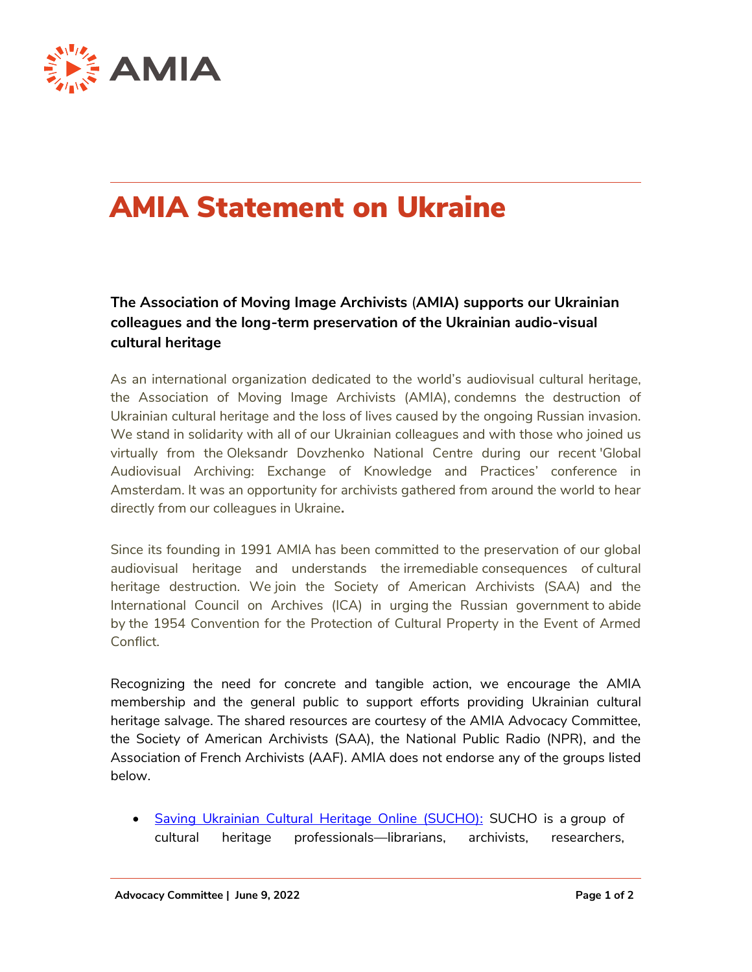

## AMIA Statement on Ukraine

**The Association of Moving Image Archivists** (**AMIA) supports our Ukrainian colleagues and the long-term preservation of the Ukrainian audio-visual cultural heritage**

As an international organization dedicated to the world's audiovisual cultural heritage, the Association of Moving Image Archivists (AMIA), condemns the destruction of Ukrainian cultural heritage and the loss of lives caused by the ongoing Russian invasion. We stand in solidarity with all of our Ukrainian colleagues and with those who joined us virtually from the Oleksandr Dovzhenko National Centre during our recent 'Global Audiovisual Archiving: Exchange of Knowledge and Practices' conference in Amsterdam. It was an opportunity for archivists gathered from around the world to hear directly from our colleagues in Ukraine**.**

Since its founding in 1991 AMIA has been committed to the preservation of our global audiovisual heritage and understands the irremediable consequences of cultural heritage destruction. We join the Society of American Archivists (SAA) and the International Council on Archives (ICA) in urging the Russian government to abide by the 1954 Convention for the Protection of Cultural Property in the Event of Armed Conflict.

Recognizing the need for concrete and tangible action, we encourage the AMIA membership and the general public to support efforts providing Ukrainian cultural heritage salvage. The shared resources are courtesy of the AMIA Advocacy Committee, the Society of American Archivists (SAA), the National Public Radio (NPR), and the Association of French Archivists (AAF). AMIA does not endorse any of the groups listed below.

• [Saving Ukrainian Cultural Heritage Online \(SUCHO\):](https://www.sucho.org/) SUCHO is a group of cultural heritage professionals—librarians, archivists, researchers,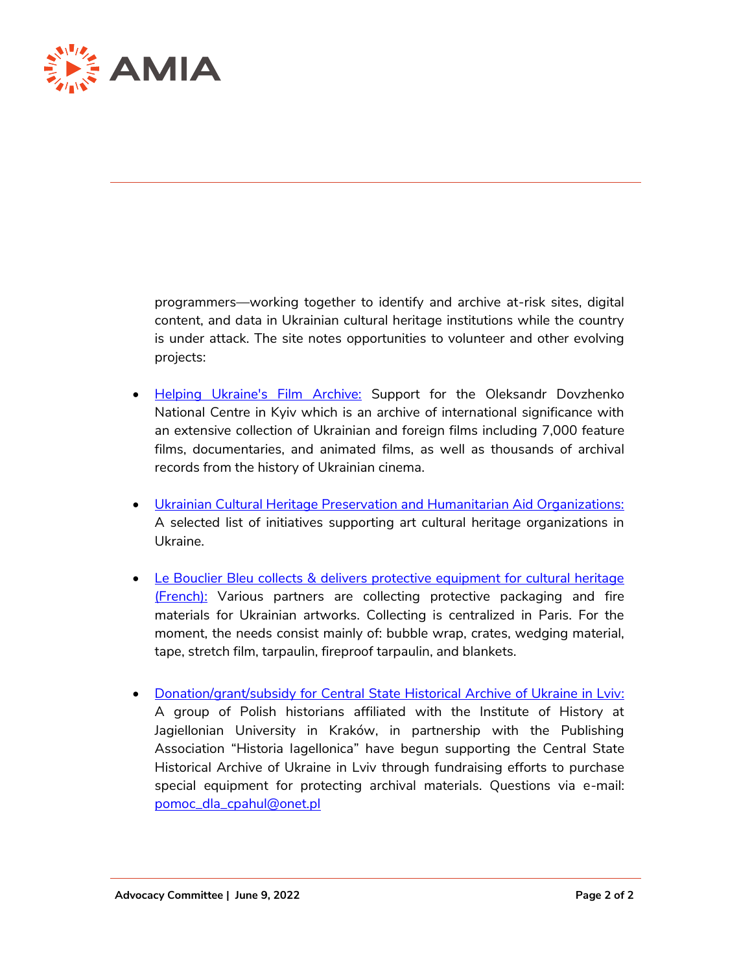

programmers—working together to identify and archive at-risk sites, digital content, and data in Ukrainian cultural heritage institutions while the country is under attack. The site notes opportunities to volunteer and other evolving projects:

- [Helping Ukraine's Film Archive:](https://www.gofundme.com/f/vufku-100-helping-the-dovzhenko-centre-in-kyiv?utm_source=customer&utm_medium=copy_link_all&utm_campaign=m_pd+share-sheet) Support for the Oleksandr Dovzhenko National Centre in Kyiv which is an archive of international significance with an extensive collection of Ukrainian and foreign films including 7,000 feature films, documentaries, and animated films, as well as thousands of archival records from the history of Ukrainian cinema.
- [Ukrainian Cultural Heritage Preservation and Humanitarian Aid Organizations:](https://www.ifar.org/news_article.php?docid=1650488006) A selected list of initiatives supporting art cultural heritage organizations in Ukraine.
- Le Bouclier Bleu collects & delivers protective equipment for cultural heritage [\(French\):](https://www.bouclier-bleu.fr/blog/2022/03/17/action-de-soutien-ukraine/) Various partners are collecting protective packaging and fire materials for Ukrainian artworks. Collecting is centralized in Paris. For the moment, the needs consist mainly of: bubble wrap, crates, wedging material, tape, stretch film, tarpaulin, fireproof tarpaulin, and blankets.
- [Donation/grant/subsidy for Central State Historical Archive of Ukraine in Lviv:](https://networks.h-net.org/node/4555727/discussions/9882296/central-state-historical-archive-ukraine-lviv-%C2%A0-request-support?fbclid=IwAR0zRnrQIL2Loe6E-rD8IvJHiSXIazkbgf7voPJayLynyNxw3oPizgdzDcE) A group of Polish historians affiliated with the Institute of History at Jagiellonian University in Kraków, in partnership with the Publishing Association "Historia Iagellonica" have begun supporting the Central State Historical Archive of Ukraine in Lviv through fundraising efforts to purchase special equipment for protecting archival materials. Questions via e-mail: [pomoc\\_dla\\_cpahul@onet.pl](mailto:pomoc_dla_cpahul@onet.pl)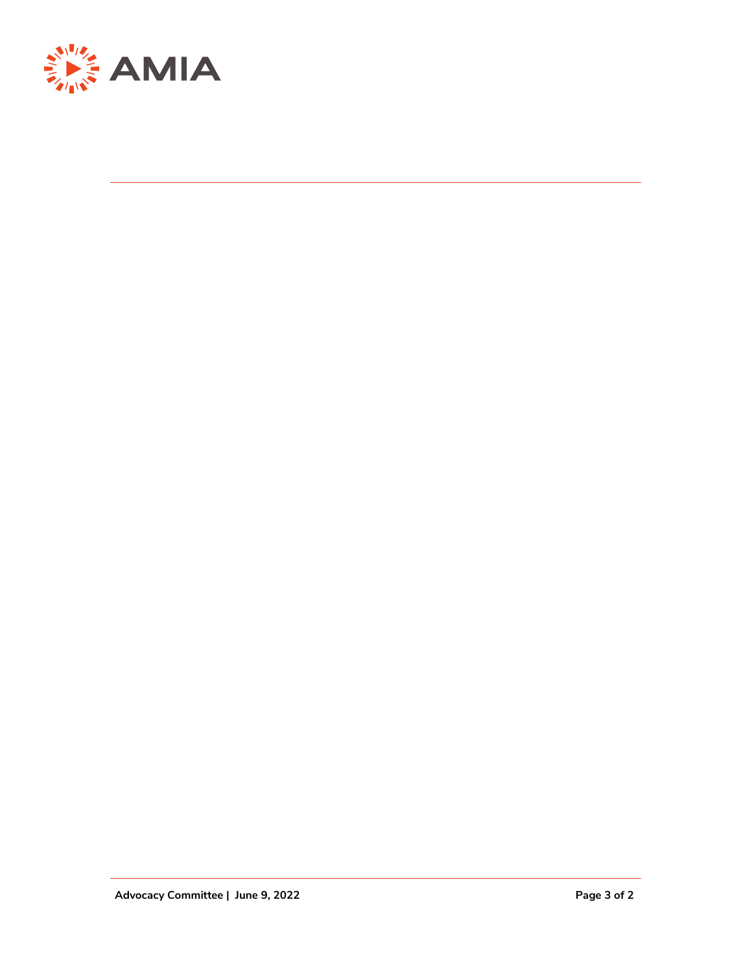